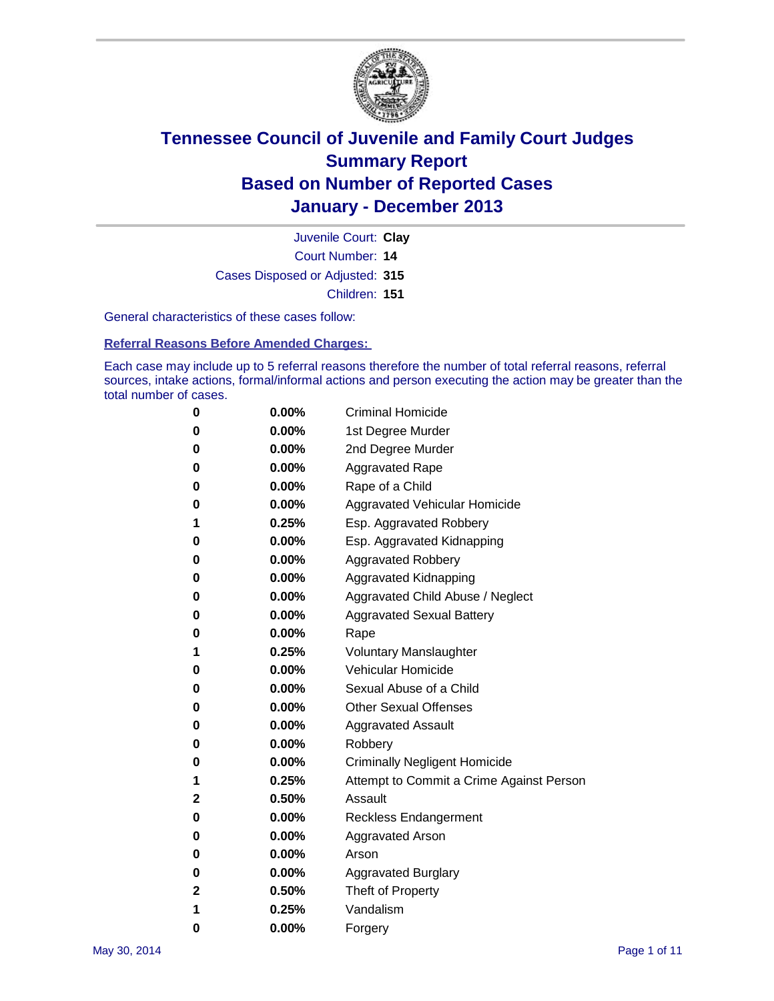

Court Number: **14** Juvenile Court: **Clay** Cases Disposed or Adjusted: **315** Children: **151**

General characteristics of these cases follow:

**Referral Reasons Before Amended Charges:** 

Each case may include up to 5 referral reasons therefore the number of total referral reasons, referral sources, intake actions, formal/informal actions and person executing the action may be greater than the total number of cases.

| 0            | $0.00\%$ | <b>Criminal Homicide</b>                 |
|--------------|----------|------------------------------------------|
| 0            | 0.00%    | 1st Degree Murder                        |
| 0            | $0.00\%$ | 2nd Degree Murder                        |
| 0            | $0.00\%$ | <b>Aggravated Rape</b>                   |
| 0            | 0.00%    | Rape of a Child                          |
| 0            | $0.00\%$ | Aggravated Vehicular Homicide            |
| 1            | 0.25%    | Esp. Aggravated Robbery                  |
| 0            | 0.00%    | Esp. Aggravated Kidnapping               |
| 0            | $0.00\%$ | <b>Aggravated Robbery</b>                |
| 0            | $0.00\%$ | Aggravated Kidnapping                    |
| 0            | 0.00%    | Aggravated Child Abuse / Neglect         |
| 0            | $0.00\%$ | <b>Aggravated Sexual Battery</b>         |
| 0            | 0.00%    | Rape                                     |
| 1            | 0.25%    | <b>Voluntary Manslaughter</b>            |
| 0            | 0.00%    | Vehicular Homicide                       |
| 0            | $0.00\%$ | Sexual Abuse of a Child                  |
| 0            | $0.00\%$ | <b>Other Sexual Offenses</b>             |
| 0            | 0.00%    | <b>Aggravated Assault</b>                |
| 0            | 0.00%    | Robbery                                  |
| 0            | $0.00\%$ | <b>Criminally Negligent Homicide</b>     |
| 1            | 0.25%    | Attempt to Commit a Crime Against Person |
| $\mathbf{2}$ | 0.50%    | Assault                                  |
| 0            | $0.00\%$ | <b>Reckless Endangerment</b>             |
| 0            | 0.00%    | <b>Aggravated Arson</b>                  |
| 0            | $0.00\%$ | Arson                                    |
| 0            | 0.00%    | <b>Aggravated Burglary</b>               |
| 2            | 0.50%    | Theft of Property                        |
| 1            | 0.25%    | Vandalism                                |
| 0            | 0.00%    | Forgery                                  |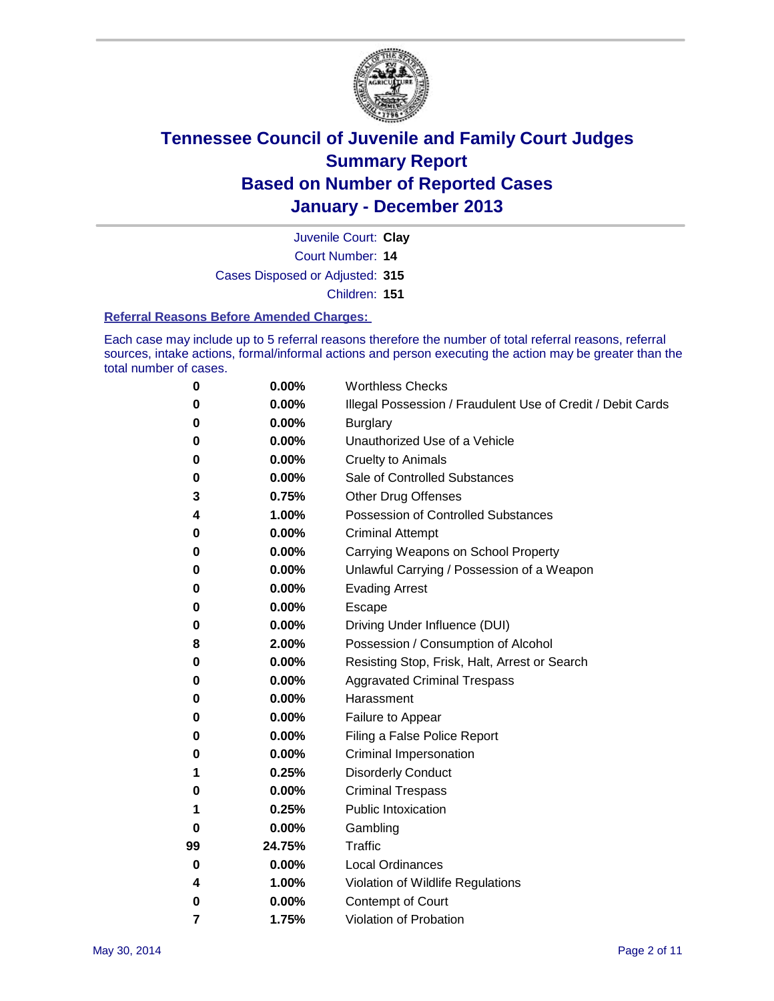

Court Number: **14** Juvenile Court: **Clay** Cases Disposed or Adjusted: **315** Children: **151**

#### **Referral Reasons Before Amended Charges:**

Each case may include up to 5 referral reasons therefore the number of total referral reasons, referral sources, intake actions, formal/informal actions and person executing the action may be greater than the total number of cases.

| 0  | 0.00%  | <b>Worthless Checks</b>                                     |
|----|--------|-------------------------------------------------------------|
| 0  | 0.00%  | Illegal Possession / Fraudulent Use of Credit / Debit Cards |
| 0  | 0.00%  | <b>Burglary</b>                                             |
| 0  | 0.00%  | Unauthorized Use of a Vehicle                               |
| 0  | 0.00%  | <b>Cruelty to Animals</b>                                   |
| 0  | 0.00%  | Sale of Controlled Substances                               |
| 3  | 0.75%  | <b>Other Drug Offenses</b>                                  |
| 4  | 1.00%  | Possession of Controlled Substances                         |
| 0  | 0.00%  | <b>Criminal Attempt</b>                                     |
| 0  | 0.00%  | Carrying Weapons on School Property                         |
| 0  | 0.00%  | Unlawful Carrying / Possession of a Weapon                  |
| 0  | 0.00%  | <b>Evading Arrest</b>                                       |
| 0  | 0.00%  | Escape                                                      |
| 0  | 0.00%  | Driving Under Influence (DUI)                               |
| 8  | 2.00%  | Possession / Consumption of Alcohol                         |
| 0  | 0.00%  | Resisting Stop, Frisk, Halt, Arrest or Search               |
| 0  | 0.00%  | <b>Aggravated Criminal Trespass</b>                         |
| 0  | 0.00%  | Harassment                                                  |
| 0  | 0.00%  | Failure to Appear                                           |
| 0  | 0.00%  | Filing a False Police Report                                |
| 0  | 0.00%  | Criminal Impersonation                                      |
| 1  | 0.25%  | <b>Disorderly Conduct</b>                                   |
| 0  | 0.00%  | <b>Criminal Trespass</b>                                    |
| 1  | 0.25%  | <b>Public Intoxication</b>                                  |
| 0  | 0.00%  | Gambling                                                    |
| 99 | 24.75% | <b>Traffic</b>                                              |
| 0  | 0.00%  | <b>Local Ordinances</b>                                     |
| 4  | 1.00%  | Violation of Wildlife Regulations                           |
| 0  | 0.00%  | Contempt of Court                                           |
| 7  | 1.75%  | Violation of Probation                                      |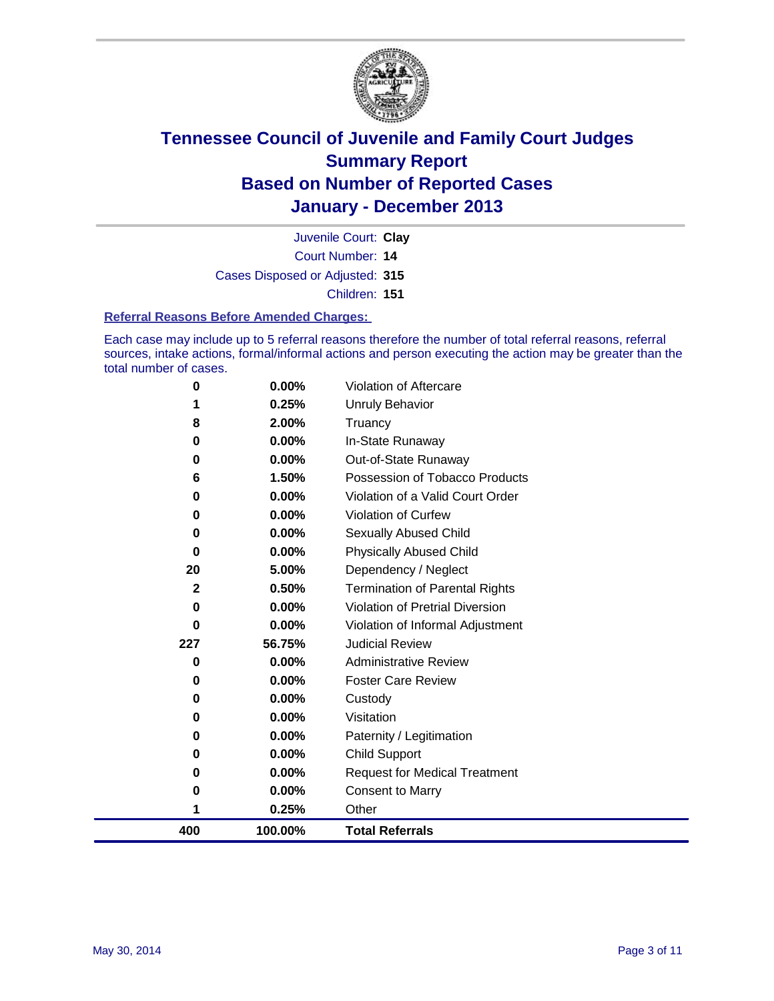

Court Number: **14** Juvenile Court: **Clay** Cases Disposed or Adjusted: **315** Children: **151**

#### **Referral Reasons Before Amended Charges:**

Each case may include up to 5 referral reasons therefore the number of total referral reasons, referral sources, intake actions, formal/informal actions and person executing the action may be greater than the total number of cases.

| 400          | 100.00%           | <b>Total Referrals</b>                                        |
|--------------|-------------------|---------------------------------------------------------------|
| 1            | 0.25%             | Other                                                         |
| 0            | 0.00%             | <b>Consent to Marry</b>                                       |
| 0            | 0.00%             | <b>Request for Medical Treatment</b>                          |
| 0            | 0.00%             | <b>Child Support</b>                                          |
| 0            | 0.00%             | Paternity / Legitimation                                      |
| 0            | 0.00%             | Visitation                                                    |
| 0            | 0.00%             | Custody                                                       |
| 0            | 0.00%             | <b>Foster Care Review</b>                                     |
| 0            | 0.00%             | <b>Administrative Review</b>                                  |
| 227          | 56.75%            | <b>Judicial Review</b>                                        |
| $\bf{0}$     | 0.00%             | Violation of Informal Adjustment                              |
| 0            | 0.00%             | Violation of Pretrial Diversion                               |
| $\mathbf{2}$ | 0.50%             | Dependency / Neglect<br><b>Termination of Parental Rights</b> |
| 20           | $0.00\%$<br>5.00% | <b>Physically Abused Child</b>                                |
| 0<br>0       | $0.00\%$          | Sexually Abused Child                                         |
| 0            | 0.00%             | <b>Violation of Curfew</b>                                    |
| 0            | 0.00%             | Violation of a Valid Court Order                              |
| 6            | 1.50%             | Possession of Tobacco Products                                |
| 0            | 0.00%             | Out-of-State Runaway                                          |
| $\bf{0}$     | 0.00%             | In-State Runaway                                              |
| 8            | 2.00%             | Truancy                                                       |
|              | 0.25%             | <b>Unruly Behavior</b>                                        |
| 0            | $0.00\%$          | Violation of Aftercare                                        |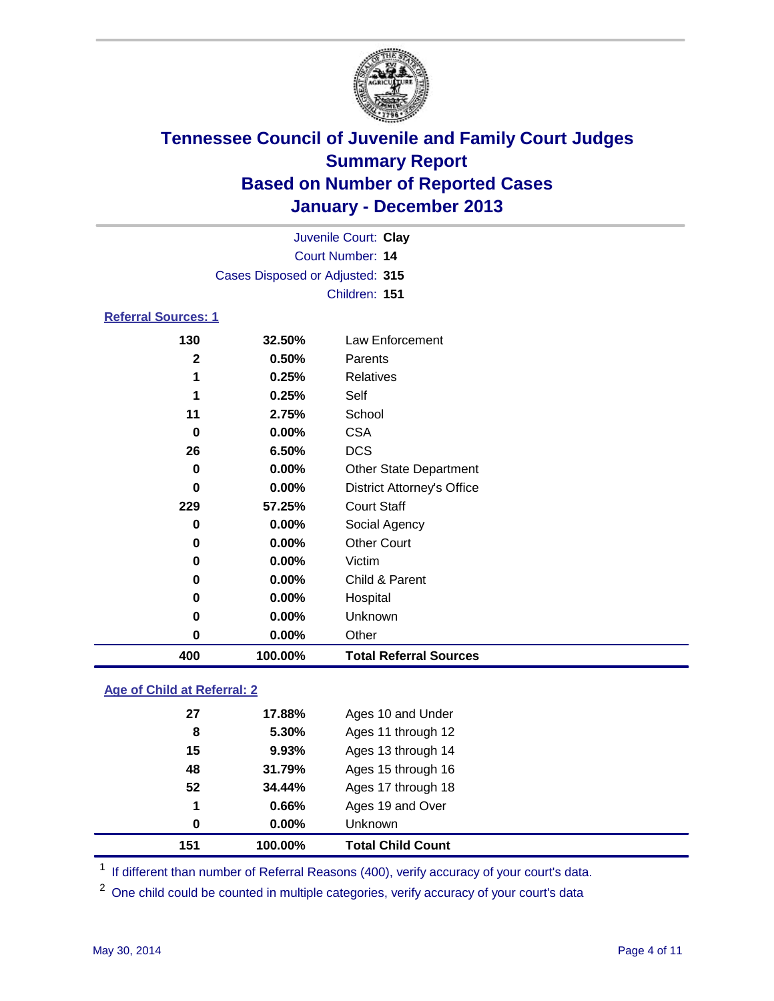

|                            |                                 | Juvenile Court: Clay              |
|----------------------------|---------------------------------|-----------------------------------|
|                            |                                 | Court Number: 14                  |
|                            | Cases Disposed or Adjusted: 315 |                                   |
|                            |                                 | Children: 151                     |
| <b>Referral Sources: 1</b> |                                 |                                   |
| 130                        | 32.50%                          | Law Enforcement                   |
| $\mathbf{2}$               | 0.50%                           | Parents                           |
| 1                          | 0.25%                           | Relatives                         |
| 1                          | 0.25%                           | Self                              |
| 11                         | 2.75%                           | School                            |
| 0                          | $0.00\%$                        | <b>CSA</b>                        |
| 26                         | 6.50%                           | <b>DCS</b>                        |
| 0                          | 0.00%                           | <b>Other State Department</b>     |
| 0                          | 0.00%                           | <b>District Attorney's Office</b> |
| 229                        | 57.25%                          | <b>Court Staff</b>                |
| 0                          | 0.00%                           | Social Agency                     |
| 0                          | 0.00%                           | <b>Other Court</b>                |
| 0                          | 0.00%                           | Victim                            |
| 0                          | 0.00%                           | Child & Parent                    |
| 0                          | $0.00\%$                        | Hospital                          |

|     | $0.00\%$ | Unknown                       |
|-----|----------|-------------------------------|
|     | $0.00\%$ | <b>Other</b>                  |
| 400 | 100.00%  | <b>Total Referral Sources</b> |

### **Age of Child at Referral: 2**

| 151 | 100.00%  | <b>Total Child Count</b> |
|-----|----------|--------------------------|
| 0   | $0.00\%$ | <b>Unknown</b>           |
| 1   | 0.66%    | Ages 19 and Over         |
| 52  | 34.44%   | Ages 17 through 18       |
| 48  | 31.79%   | Ages 15 through 16       |
| 15  | 9.93%    | Ages 13 through 14       |
| 8   | 5.30%    | Ages 11 through 12       |
| 27  | 17.88%   | Ages 10 and Under        |
|     |          |                          |

<sup>1</sup> If different than number of Referral Reasons (400), verify accuracy of your court's data.

<sup>2</sup> One child could be counted in multiple categories, verify accuracy of your court's data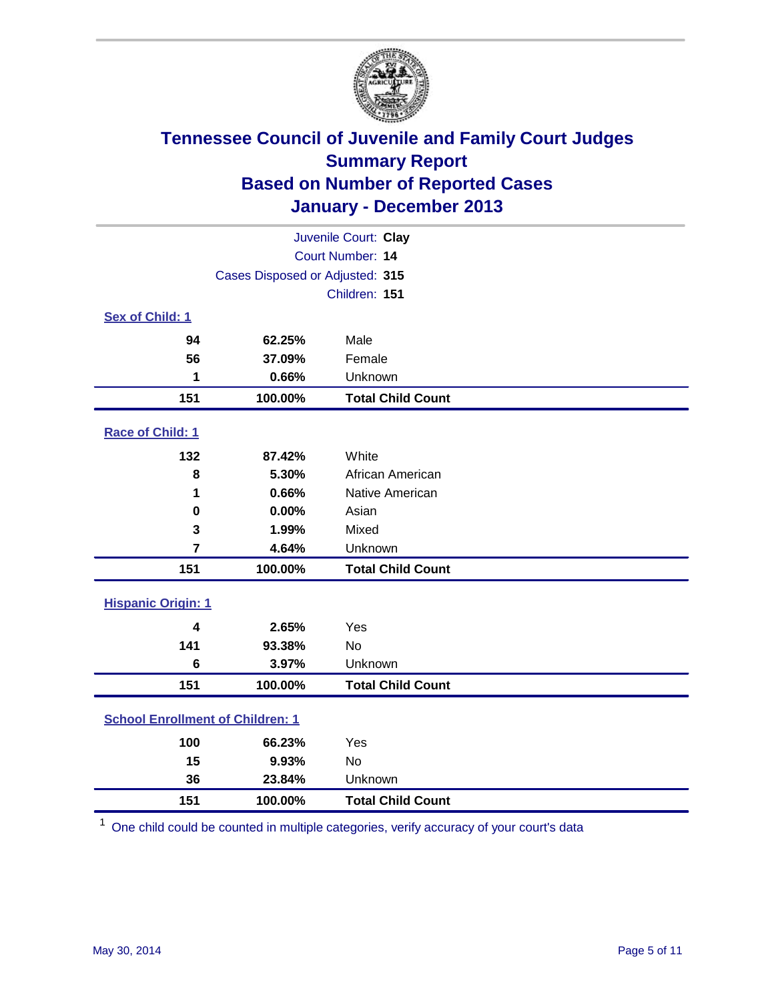

|                                         |                                 | Juvenile Court: Clay     |
|-----------------------------------------|---------------------------------|--------------------------|
|                                         |                                 | <b>Court Number: 14</b>  |
|                                         | Cases Disposed or Adjusted: 315 |                          |
|                                         |                                 | Children: 151            |
| Sex of Child: 1                         |                                 |                          |
| 94                                      | 62.25%                          | Male                     |
| 56                                      | 37.09%                          | Female                   |
| 1                                       | 0.66%                           | Unknown                  |
| 151                                     | 100.00%                         | <b>Total Child Count</b> |
| Race of Child: 1                        |                                 |                          |
| 132                                     | 87.42%                          | White                    |
| 8                                       | 5.30%                           | African American         |
| 1                                       | 0.66%                           | Native American          |
| 0                                       | 0.00%                           | Asian                    |
| 3                                       | 1.99%                           | Mixed                    |
| $\overline{7}$                          | 4.64%                           | Unknown                  |
| 151                                     | 100.00%                         | <b>Total Child Count</b> |
| <b>Hispanic Origin: 1</b>               |                                 |                          |
| 4                                       | 2.65%                           | Yes                      |
| 141                                     | 93.38%                          | <b>No</b>                |
| $\bf 6$                                 | 3.97%                           | Unknown                  |
| 151                                     | 100.00%                         | <b>Total Child Count</b> |
| <b>School Enrollment of Children: 1</b> |                                 |                          |
| 100                                     | 66.23%                          | Yes                      |
| 15                                      | 9.93%                           | <b>No</b>                |
| 36                                      | 23.84%                          | Unknown                  |
| 151                                     | 100.00%                         | <b>Total Child Count</b> |

One child could be counted in multiple categories, verify accuracy of your court's data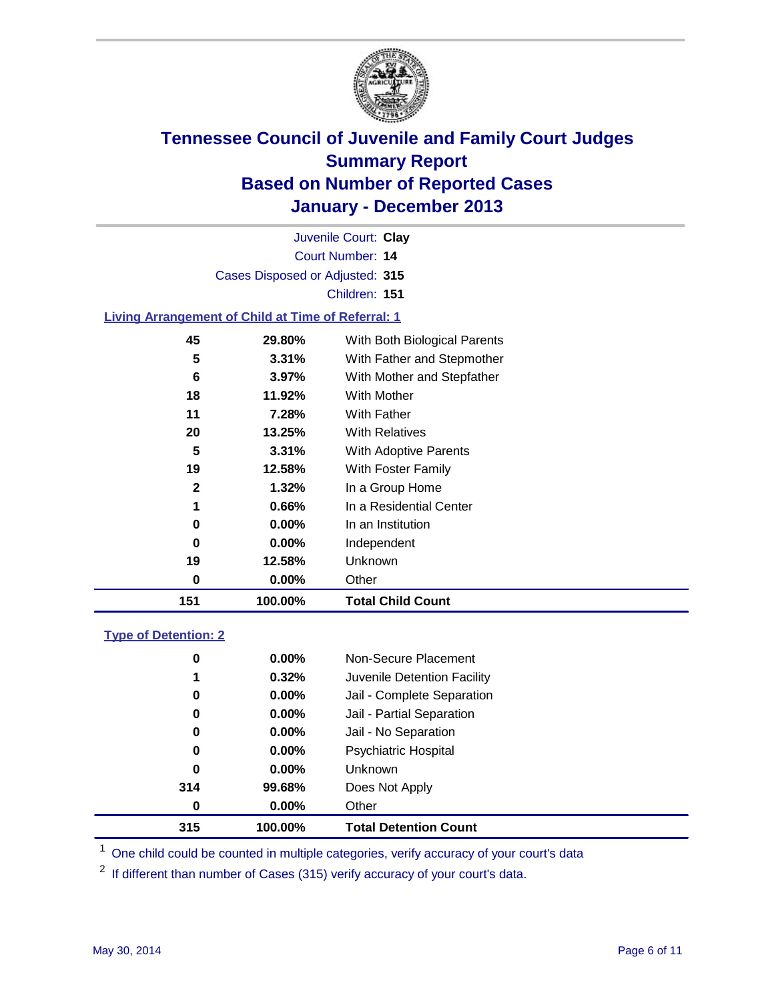

Court Number: **14** Juvenile Court: **Clay** Cases Disposed or Adjusted: **315** Children: **151**

### **Living Arrangement of Child at Time of Referral: 1**

| 151 | 100.00%  | <b>Total Child Count</b>     |
|-----|----------|------------------------------|
| 0   | $0.00\%$ | Other                        |
| 19  | 12.58%   | Unknown                      |
| 0   | $0.00\%$ | Independent                  |
| 0   | 0.00%    | In an Institution            |
| 1   | 0.66%    | In a Residential Center      |
| 2   | 1.32%    | In a Group Home              |
| 19  | 12.58%   | With Foster Family           |
| 5   | 3.31%    | With Adoptive Parents        |
| 20  | 13.25%   | <b>With Relatives</b>        |
| 11  | 7.28%    | With Father                  |
| 18  | 11.92%   | <b>With Mother</b>           |
| 6   | 3.97%    | With Mother and Stepfather   |
| 5   | 3.31%    | With Father and Stepmother   |
| 45  | 29.80%   | With Both Biological Parents |
|     |          |                              |

#### **Type of Detention: 2**

| 315 | 100.00%  | <b>Total Detention Count</b> |  |
|-----|----------|------------------------------|--|
| 0   | 0.00%    | Other                        |  |
| 314 | 99.68%   | Does Not Apply               |  |
| 0   | $0.00\%$ | <b>Unknown</b>               |  |
| 0   | $0.00\%$ | <b>Psychiatric Hospital</b>  |  |
| 0   | 0.00%    | Jail - No Separation         |  |
| 0   | $0.00\%$ | Jail - Partial Separation    |  |
| 0   | 0.00%    | Jail - Complete Separation   |  |
| 1   | 0.32%    | Juvenile Detention Facility  |  |
| 0   | $0.00\%$ | Non-Secure Placement         |  |
|     |          |                              |  |

<sup>1</sup> One child could be counted in multiple categories, verify accuracy of your court's data

If different than number of Cases (315) verify accuracy of your court's data.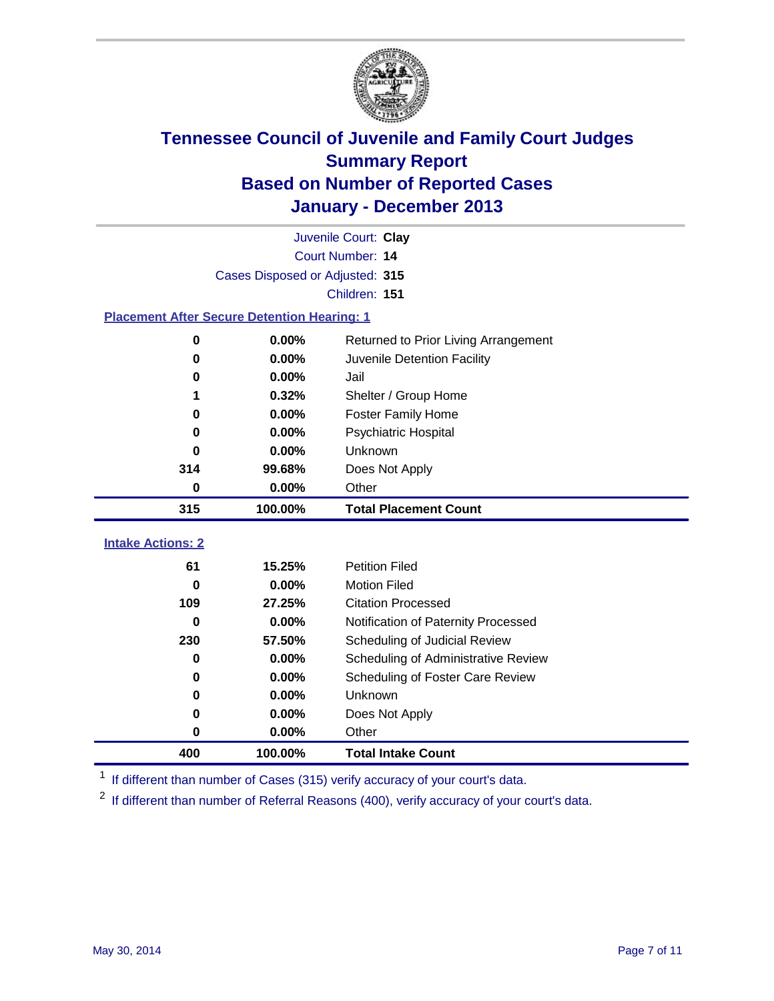

|                                                    |                                 | Juvenile Court: Clay                 |
|----------------------------------------------------|---------------------------------|--------------------------------------|
|                                                    |                                 | Court Number: 14                     |
|                                                    | Cases Disposed or Adjusted: 315 |                                      |
|                                                    |                                 | Children: 151                        |
| <b>Placement After Secure Detention Hearing: 1</b> |                                 |                                      |
| 0                                                  | 0.00%                           | Returned to Prior Living Arrangement |
| $\bf{0}$                                           | 0.00%                           | Juvenile Detention Facility          |
| 0                                                  | 0.00%                           | Jail                                 |
| 1                                                  | 0.32%                           | Shelter / Group Home                 |
| 0                                                  | 0.00%                           | <b>Foster Family Home</b>            |
| 0                                                  | 0.00%                           | <b>Psychiatric Hospital</b>          |
| 0                                                  | 0.00%                           | Unknown                              |
| 314                                                | 99.68%                          | Does Not Apply                       |
| 0                                                  | 0.00%                           | Other                                |
| 315                                                | 100.00%                         | <b>Total Placement Count</b>         |
| <b>Intake Actions: 2</b>                           |                                 |                                      |
|                                                    |                                 |                                      |
| 61                                                 | 15.25%                          | <b>Petition Filed</b>                |
| 0                                                  | 0.00%                           | <b>Motion Filed</b>                  |
| 109                                                | 27.25%                          | <b>Citation Processed</b>            |
| 0                                                  | 0.00%                           | Notification of Paternity Processed  |
| 230                                                | 57.50%                          | Scheduling of Judicial Review        |
| 0                                                  | 0.00%                           | Scheduling of Administrative Review  |
| 0                                                  | 0.00%                           | Scheduling of Foster Care Review     |
| 0                                                  | 0.00%                           | Unknown                              |
| 0                                                  | 0.00%                           | Does Not Apply                       |
| 0                                                  | 0.00%                           | Other                                |
| 400                                                | 100.00%                         | <b>Total Intake Count</b>            |

<sup>1</sup> If different than number of Cases (315) verify accuracy of your court's data.

<sup>2</sup> If different than number of Referral Reasons (400), verify accuracy of your court's data.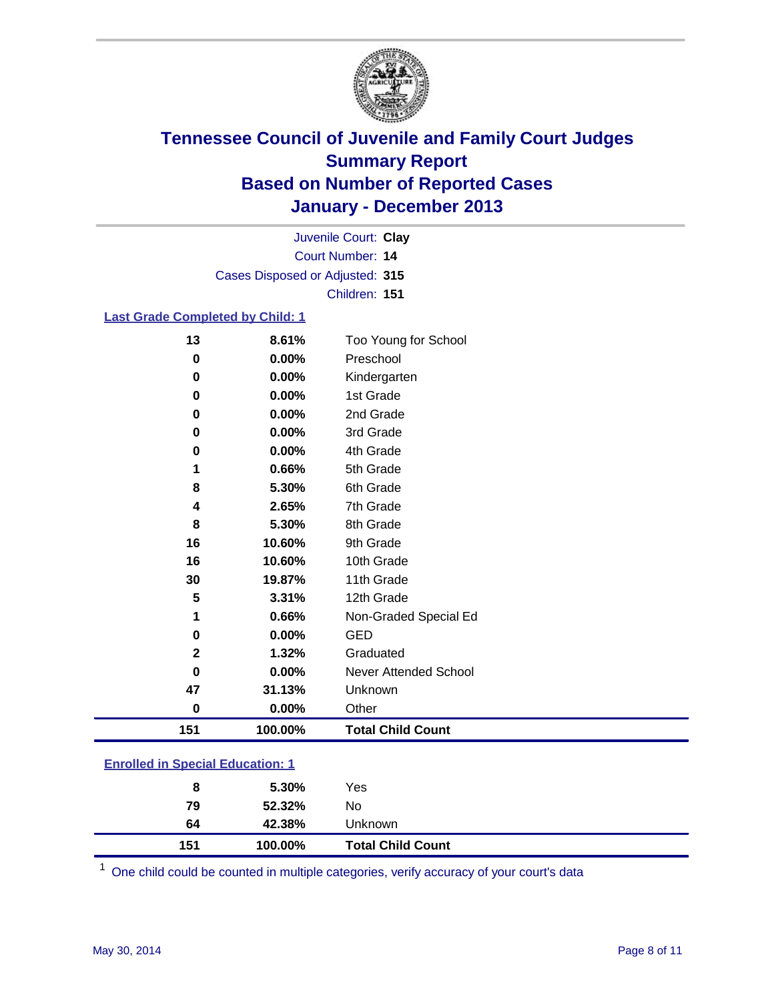

Court Number: **14** Juvenile Court: **Clay** Cases Disposed or Adjusted: **315** Children: **151**

### **Last Grade Completed by Child: 1**

| 13           | 8.61%   | Too Young for School     |
|--------------|---------|--------------------------|
| 0            | 0.00%   | Preschool                |
| 0            | 0.00%   | Kindergarten             |
| 0            | 0.00%   | 1st Grade                |
| 0            | 0.00%   | 2nd Grade                |
| 0            | 0.00%   | 3rd Grade                |
| 0            | 0.00%   | 4th Grade                |
| 1            | 0.66%   | 5th Grade                |
| 8            | 5.30%   | 6th Grade                |
| 4            | 2.65%   | 7th Grade                |
| 8            | 5.30%   | 8th Grade                |
| 16           | 10.60%  | 9th Grade                |
| 16           | 10.60%  | 10th Grade               |
| 30           | 19.87%  | 11th Grade               |
| 5            | 3.31%   | 12th Grade               |
| 1            | 0.66%   | Non-Graded Special Ed    |
| $\bf{0}$     | 0.00%   | <b>GED</b>               |
| $\mathbf{2}$ | 1.32%   | Graduated                |
| 0            | 0.00%   | Never Attended School    |
| 47           | 31.13%  | Unknown                  |
| $\bf{0}$     | 0.00%   | Other                    |
| 151          | 100.00% | <b>Total Child Count</b> |

| <b>Enrolled in Special Education: 1</b> |
|-----------------------------------------|
|                                         |

| 151 | 100.00% | <b>Total Child Count</b> |  |
|-----|---------|--------------------------|--|
| 64  | 42.38%  | <b>Unknown</b>           |  |
| 79  | 52.32%  | No                       |  |
| 8   | 5.30%   | Yes                      |  |
|     |         |                          |  |

One child could be counted in multiple categories, verify accuracy of your court's data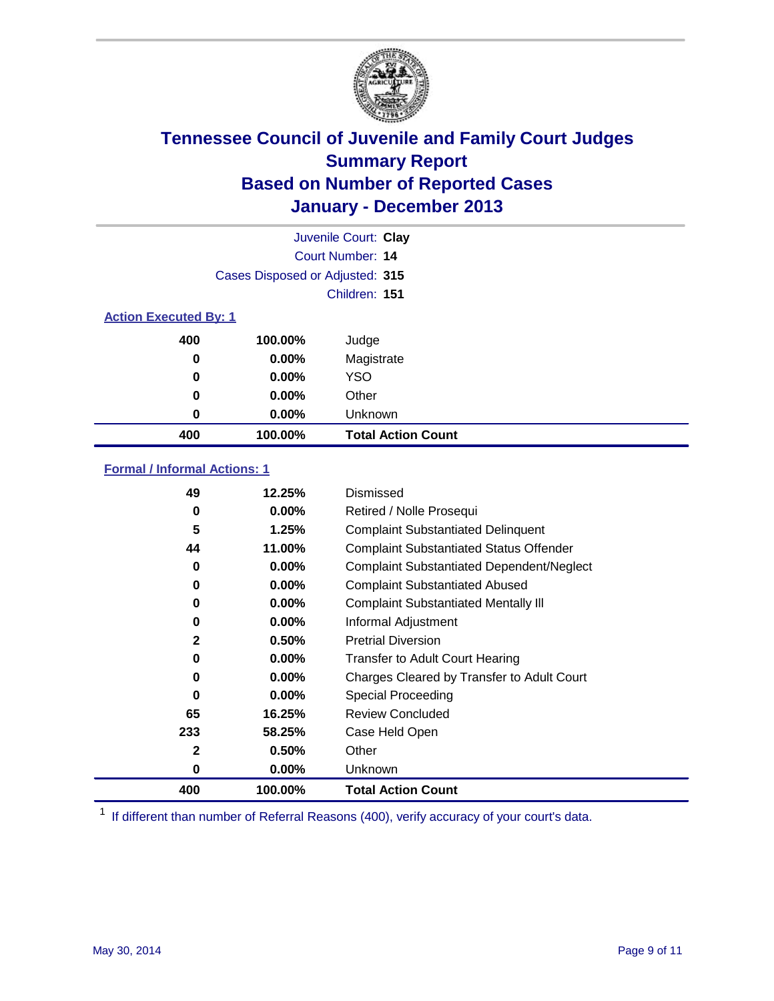

|                              |                                 | Juvenile Court: Clay      |
|------------------------------|---------------------------------|---------------------------|
|                              |                                 | Court Number: 14          |
|                              | Cases Disposed or Adjusted: 315 |                           |
|                              |                                 | Children: 151             |
| <b>Action Executed By: 1</b> |                                 |                           |
| 400                          | 100.00%                         | Judge                     |
| 0                            | $0.00\%$                        | Magistrate                |
| $\bf{0}$                     | $0.00\%$                        | <b>YSO</b>                |
| 0                            | $0.00\%$                        | Other                     |
| 0                            | $0.00\%$                        | Unknown                   |
| 400                          | 100.00%                         | <b>Total Action Count</b> |

### **Formal / Informal Actions: 1**

| 49           | 12.25%   | Dismissed                                        |
|--------------|----------|--------------------------------------------------|
| 0            | $0.00\%$ | Retired / Nolle Prosequi                         |
| 5            | 1.25%    | <b>Complaint Substantiated Delinquent</b>        |
| 44           | 11.00%   | <b>Complaint Substantiated Status Offender</b>   |
| 0            | 0.00%    | <b>Complaint Substantiated Dependent/Neglect</b> |
| 0            | $0.00\%$ | <b>Complaint Substantiated Abused</b>            |
| 0            | $0.00\%$ | <b>Complaint Substantiated Mentally III</b>      |
| 0            | $0.00\%$ | Informal Adjustment                              |
| $\mathbf{2}$ | 0.50%    | <b>Pretrial Diversion</b>                        |
| 0            | 0.00%    | <b>Transfer to Adult Court Hearing</b>           |
| 0            | $0.00\%$ | Charges Cleared by Transfer to Adult Court       |
| $\bf{0}$     | $0.00\%$ | Special Proceeding                               |
| 65           | 16.25%   | <b>Review Concluded</b>                          |
| 233          | 58.25%   | Case Held Open                                   |
| 2            | 0.50%    | Other                                            |
| 0            | $0.00\%$ | Unknown                                          |
| 400          | 100.00%  | <b>Total Action Count</b>                        |

<sup>1</sup> If different than number of Referral Reasons (400), verify accuracy of your court's data.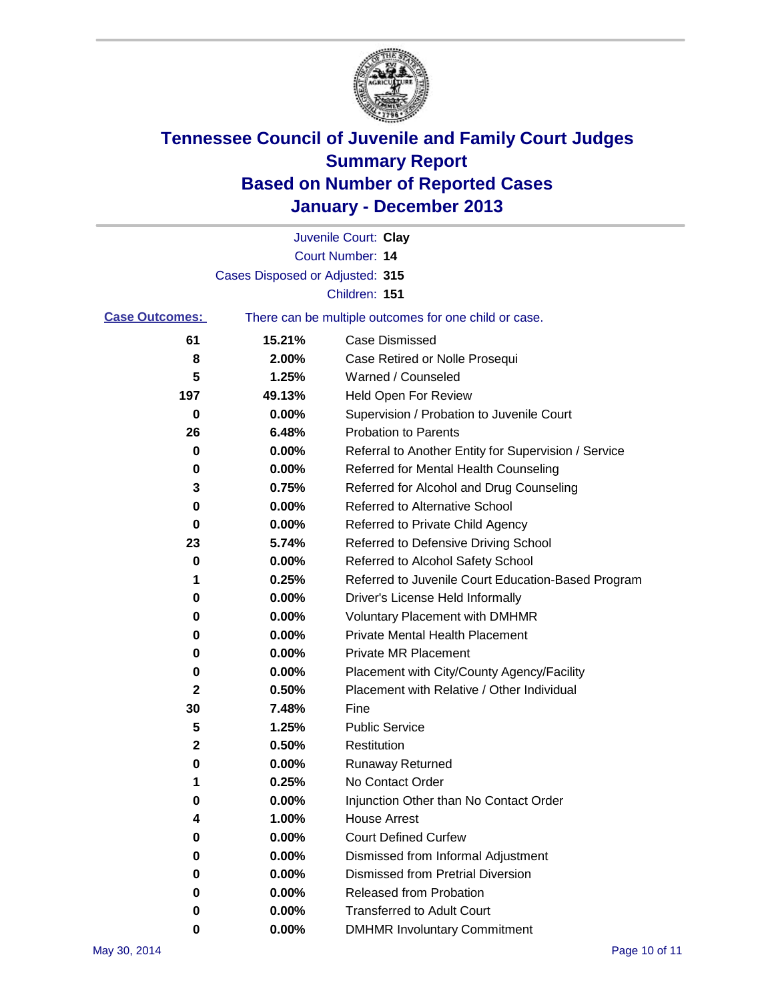

|                       |                                 | Juvenile Court: Clay                                  |
|-----------------------|---------------------------------|-------------------------------------------------------|
|                       |                                 | Court Number: 14                                      |
|                       | Cases Disposed or Adjusted: 315 |                                                       |
|                       |                                 | Children: 151                                         |
| <b>Case Outcomes:</b> |                                 | There can be multiple outcomes for one child or case. |
| 61                    | 15.21%                          | Case Dismissed                                        |
| 8                     | 2.00%                           | Case Retired or Nolle Prosequi                        |
| 5                     | 1.25%                           | Warned / Counseled                                    |
| 197                   | 49.13%                          | Held Open For Review                                  |
| 0                     | 0.00%                           | Supervision / Probation to Juvenile Court             |
| 26                    | 6.48%                           | <b>Probation to Parents</b>                           |
| 0                     | 0.00%                           | Referral to Another Entity for Supervision / Service  |
| 0                     | 0.00%                           | Referred for Mental Health Counseling                 |
| 3                     | 0.75%                           | Referred for Alcohol and Drug Counseling              |
| 0                     | 0.00%                           | <b>Referred to Alternative School</b>                 |
| 0                     | 0.00%                           | Referred to Private Child Agency                      |
| 23                    | 5.74%                           | Referred to Defensive Driving School                  |
| 0                     | 0.00%                           | Referred to Alcohol Safety School                     |
| 1                     | 0.25%                           | Referred to Juvenile Court Education-Based Program    |
| 0                     | 0.00%                           | Driver's License Held Informally                      |
| 0                     | 0.00%                           | <b>Voluntary Placement with DMHMR</b>                 |
| 0                     | 0.00%                           | <b>Private Mental Health Placement</b>                |
| 0                     | 0.00%                           | <b>Private MR Placement</b>                           |
| 0                     | 0.00%                           | Placement with City/County Agency/Facility            |
| 2                     | 0.50%                           | Placement with Relative / Other Individual            |
| 30                    | 7.48%                           | Fine                                                  |
| 5                     | 1.25%                           | <b>Public Service</b>                                 |
| 2                     | 0.50%                           | Restitution                                           |
| 0                     | 0.00%                           | <b>Runaway Returned</b>                               |
| 1                     | 0.25%                           | No Contact Order                                      |
| 0                     | 0.00%                           | Injunction Other than No Contact Order                |
| 4                     | 1.00%                           | <b>House Arrest</b>                                   |
| 0                     | 0.00%                           | <b>Court Defined Curfew</b>                           |
| 0                     | 0.00%                           | Dismissed from Informal Adjustment                    |
| 0                     | 0.00%                           | <b>Dismissed from Pretrial Diversion</b>              |
| 0                     | 0.00%                           | Released from Probation                               |
| 0                     | 0.00%                           | <b>Transferred to Adult Court</b>                     |
| 0                     | 0.00%                           | <b>DMHMR Involuntary Commitment</b>                   |